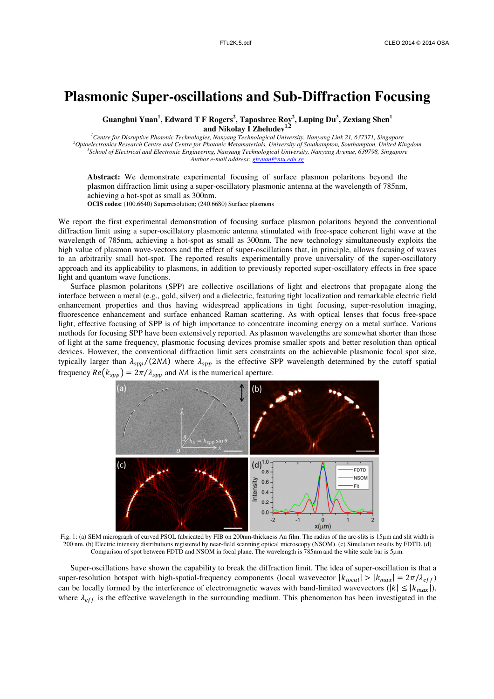## **Plasmonic Super-oscillations and Sub-Diffraction Focusing**

**Guanghui Yuan<sup>1</sup> , Edward T F Rogers<sup>2</sup> , Tapashree Roy<sup>2</sup> , Luping Du<sup>3</sup> , Zexiang Shen<sup>1</sup> and Nikolay I Zheludev1,2**

*Centre for Disruptive Photonic Technologies, Nanyang Technological University, Nanyang Link 21, 637371, Singapore Optoelectronics Research Centre and Centre for Photonic Metamaterials, University of Southampton, Southampton, United Kingdom School of Electrical and Electronic Engineering, Nanyang Technological University, Nanyang Avenue, 639798, Singapore Author e-mail address: ghyuan@ntu.edu.sg* 

**Abstract:** We demonstrate experimental focusing of surface plasmon polaritons beyond the plasmon diffraction limit using a super-oscillatory plasmonic antenna at the wavelength of 785nm, achieving a hot-spot as small as 300nm.

**OCIS codes:** (100.6640) Superresolution; (240.6680) Surface plasmons

We report the first experimental demonstration of focusing surface plasmon polaritons beyond the conventional diffraction limit using a super-oscillatory plasmonic antenna stimulated with free-space coherent light wave at the wavelength of 785nm, achieving a hot-spot as small as 300nm. The new technology simultaneously exploits the high value of plasmon wave-vectors and the effect of super-oscillations that, in principle, allows focusing of waves to an arbitrarily small hot-spot. The reported results experimentally prove universality of the super-oscillatory approach and its applicability to plasmons, in addition to previously reported super-oscillatory effects in free space light and quantum wave functions.

 Surface plasmon polaritons (SPP) are collective oscillations of light and electrons that propagate along the interface between a metal (e.g., gold, silver) and a dielectric, featuring tight localization and remarkable electric field enhancement properties and thus having widespread applications in tight focusing, super-resolution imaging, fluorescence enhancement and surface enhanced Raman scattering. As with optical lenses that focus free-space light, effective focusing of SPP is of high importance to concentrate incoming energy on a metal surface. Various methods for focusing SPP have been extensively reported. As plasmon wavelengths are somewhat shorter than those of light at the same frequency, plasmonic focusing devices promise smaller spots and better resolution than optical devices. However, the conventional diffraction limit sets constraints on the achievable plasmonic focal spot size, typically larger than  $\lambda_{spp}/(2NA)$  where  $\lambda_{spp}$  is the effective SPP wavelength determined by the cutoff spatial frequency  $Re(k_{spp}) = 2\pi/\lambda_{spp}$  and NA is the numerical aperture.



Fig. 1: (a) SEM micrograph of curved PSOL fabricated by FIB on 200nm-thickness Au film. The radius of the arc-slits is 15µm and slit width is 200 nm. (b) Electric intensity distributions registered by near-field scanning optical microscopy (NSOM). (c) Simulation results by FDTD. (d) Comparison of spot between FDTD and NSOM in focal plane. The wavelength is 785nm and the white scale bar is 5µm.

 Super-oscillations have shown the capability to break the diffraction limit. The idea of super-oscillation is that a super-resolution hotspot with high-spatial-frequency components (local wavevector  $|k_{local}| > |k_{max}| = 2\pi/\lambda_{eff}$ ) can be locally formed by the interference of electromagnetic waves with band-limited wavevectors ( $|k| \le |k_{max}|$ ), where  $\lambda_{eff}$  is the effective wavelength in the surrounding medium. This phenomenon has been investigated in the